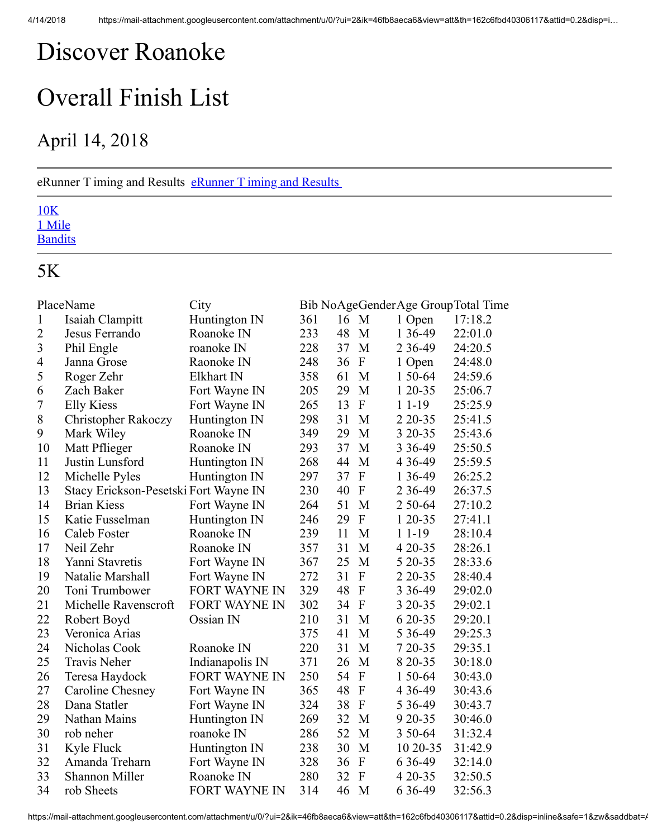## <span id="page-0-0"></span>Discover Roanoke

# Overall Finish List

## April 14, 2018

#### [eRunner T iming and Results](http://www.erunner.biz/) eRunner T iming and Results

#### 10K 1 Mile **Bandits**

### 5K

|                | PlaceName                             | City                 |     |      |                           |             | Bib NoAgeGenderAge GroupTotal Time |
|----------------|---------------------------------------|----------------------|-----|------|---------------------------|-------------|------------------------------------|
| $\mathbf{1}$   | Isaiah Clampitt                       | Huntington IN        | 361 | 16 M |                           | 1 Open      | 17:18.2                            |
| $\overline{2}$ | Jesus Ferrando                        | Roanoke IN           | 233 | 48   | M                         | 1 36-49     | 22:01.0                            |
| $\overline{3}$ | Phil Engle                            | roanoke IN           | 228 | 37   | M                         | 2 3 6 - 4 9 | 24:20.5                            |
| $\overline{4}$ | Janna Grose                           | Raonoke IN           | 248 | 36   | ${\bf F}$                 | 1 Open      | 24:48.0                            |
| 5              | Roger Zehr                            | Elkhart IN           | 358 | 61   | M                         | 1 50-64     | 24:59.6                            |
| 6              | Zach Baker                            | Fort Wayne IN        | 205 | 29   | M                         | 1 20-35     | 25:06.7                            |
| $\overline{7}$ | <b>Elly Kiess</b>                     | Fort Wayne IN        | 265 | 13   | ${\bf F}$                 | $11-19$     | 25:25.9                            |
| 8              | <b>Christopher Rakoczy</b>            | Huntington IN        | 298 | 31   | M                         | 2 2 0 - 3 5 | 25:41.5                            |
| 9              | Mark Wiley                            | Roanoke IN           | 349 | 29   | M                         | 3 20 - 35   | 25:43.6                            |
| 10             | Matt Pflieger                         | Roanoke IN           | 293 | 37   | M                         | 3 3 6 - 4 9 | 25:50.5                            |
| 11             | Justin Lunsford                       | Huntington IN        | 268 | 44   | M                         | 4 3 6 - 4 9 | 25:59.5                            |
| 12             | Michelle Pyles                        | Huntington IN        | 297 | 37   | ${\bf F}$                 | 1 36-49     | 26:25.2                            |
| 13             | Stacy Erickson-Pesetski Fort Wayne IN |                      | 230 | 40   | $\overline{F}$            | 2 3 6 - 4 9 | 26:37.5                            |
| 14             | <b>Brian Kiess</b>                    | Fort Wayne IN        | 264 | 51   | M                         | 2 50-64     | 27:10.2                            |
| 15             | Katie Fusselman                       | Huntington IN        | 246 | 29   | $\mathbf{F}$              | 1 20-35     | 27:41.1                            |
| 16             | Caleb Foster                          | Roanoke IN           | 239 | 11   | M                         | $11-19$     | 28:10.4                            |
| 17             | Neil Zehr                             | Roanoke IN           | 357 | 31   | M                         | 4 20 - 35   | 28:26.1                            |
| 18             | Yanni Stavretis                       | Fort Wayne IN        | 367 | 25   | M                         | 5 20 - 35   | 28:33.6                            |
| 19             | Natalie Marshall                      | Fort Wayne IN        | 272 | 31   | ${\bf F}$                 | 2 2 0 - 3 5 | 28:40.4                            |
| 20             | Toni Trumbower                        | <b>FORT WAYNE IN</b> | 329 | 48   | $\mathbf{F}$              | 3 3 6 - 4 9 | 29:02.0                            |
| 21             | Michelle Ravenscroft                  | <b>FORT WAYNE IN</b> | 302 | 34   | $\overline{F}$            | 3 20 - 35   | 29:02.1                            |
| 22             | Robert Boyd                           | Ossian IN            | 210 | 31   | M                         | 6 20 - 35   | 29:20.1                            |
| 23             | Veronica Arias                        |                      | 375 | 41   | M                         | 5 3 6 - 4 9 | 29:25.3                            |
| 24             | Nicholas Cook                         | Roanoke IN           | 220 | 31   | M                         | 7 20 - 35   | 29:35.1                            |
| 25             | <b>Travis Neher</b>                   | Indianapolis IN      | 371 | 26   | M                         | 8 20 - 35   | 30:18.0                            |
| 26             | Teresa Haydock                        | <b>FORT WAYNE IN</b> | 250 | 54   | ${\bf F}$                 | 1 50-64     | 30:43.0                            |
| 27             | Caroline Chesney                      | Fort Wayne IN        | 365 | 48   | $\boldsymbol{\mathrm{F}}$ | 4 3 6 - 4 9 | 30:43.6                            |
| 28             | Dana Statler                          | Fort Wayne IN        | 324 | 38   | $\boldsymbol{\mathrm{F}}$ | 5 3 6 - 4 9 | 30:43.7                            |
| 29             | Nathan Mains                          | Huntington IN        | 269 | 32   | M                         | 9 20 - 35   | 30:46.0                            |
| 30             | rob neher                             | roanoke IN           | 286 | 52   | M                         | 3 50-64     | 31:32.4                            |
| 31             | Kyle Fluck                            | Huntington IN        | 238 | 30   | M                         | 10 20-35    | 31:42.9                            |
| 32             | Amanda Treharn                        | Fort Wayne IN        | 328 | 36   | ${\bf F}$                 | 6 3 6 - 4 9 | 32:14.0                            |
| 33             | Shannon Miller                        | Roanoke IN           | 280 | 32   | F                         | 4 20 - 35   | 32:50.5                            |
| 34             | rob Sheets                            | <b>FORT WAYNE IN</b> | 314 | 46   | M                         | 6 3 6 - 4 9 | 32:56.3                            |

https://mail-attachment.googleusercontent.com/attachment/u/0/?ui=2&ik=46fb8aeca6&view=att&th=162c6fbd40306117&attid=0.2&disp=inline&safe=1&zw&saddbat=/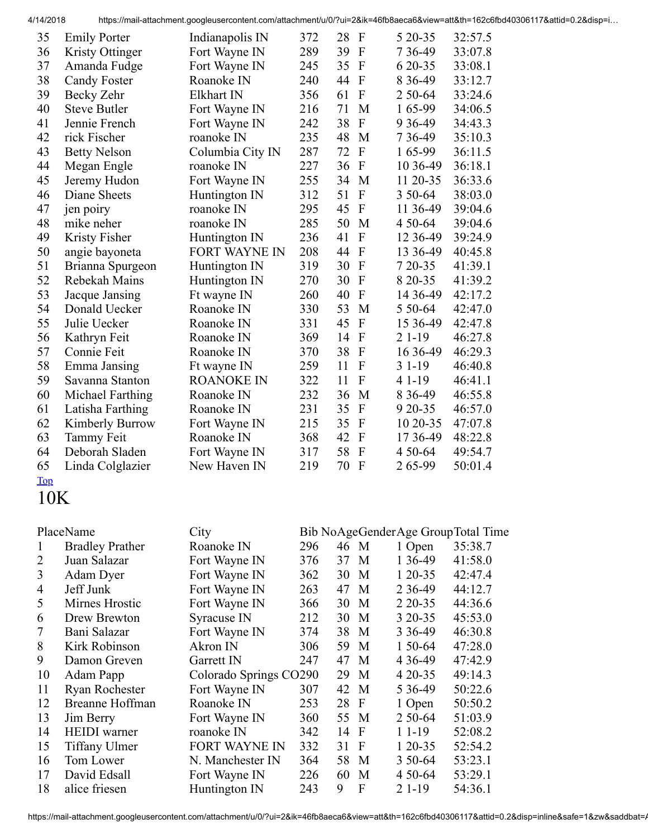4/14/2018 https://mail-attachment.googleusercontent.com/attachment/u/0/?ui=2&ik=46fb8aeca6&view=att&th=162c6fbd40306117&attid=0.2&disp=i…

| 35 | <b>Emily Porter</b> | Indianapolis IN   | 372 | 28<br>F              | 5 20 - 35   | 32:57.5 |
|----|---------------------|-------------------|-----|----------------------|-------------|---------|
| 36 | Kristy Ottinger     | Fort Wayne IN     | 289 | 39<br>F              | 7 3 6 - 4 9 | 33:07.8 |
| 37 | Amanda Fudge        | Fort Wayne IN     | 245 | 35<br>$\mathbf{F}$   | 6 20 - 35   | 33:08.1 |
| 38 | <b>Candy Foster</b> | Roanoke IN        | 240 | F<br>44              | 8 3 6 - 4 9 | 33:12.7 |
| 39 | Becky Zehr          | Elkhart IN        | 356 | $\mathbf{F}$<br>61   | 2 50-64     | 33:24.6 |
| 40 | <b>Steve Butler</b> | Fort Wayne IN     | 216 | 71<br>M              | 165-99      | 34:06.5 |
| 41 | Jennie French       | Fort Wayne IN     | 242 | 38<br>$\mathbf{F}$   | 9 3 6 - 49  | 34:43.3 |
| 42 | rick Fischer        | roanoke IN        | 235 | 48<br>M              | 7 3 6 - 4 9 | 35:10.3 |
| 43 | <b>Betty Nelson</b> | Columbia City IN  | 287 | 72<br>F              | 165-99      | 36:11.5 |
| 44 | Megan Engle         | roanoke IN        | 227 | F<br>36              | 10 36-49    | 36:18.1 |
| 45 | Jeremy Hudon        | Fort Wayne IN     | 255 | 34<br>M              | 11 20-35    | 36:33.6 |
| 46 | Diane Sheets        | Huntington IN     | 312 | 51<br>F              | 3 50 - 64   | 38:03.0 |
| 47 | jen poiry           | roanoke IN        | 295 | F<br>45              | 11 36-49    | 39:04.6 |
| 48 | mike neher          | roanoke IN        | 285 | 50<br>M              | 4 50 - 64   | 39:04.6 |
| 49 | Kristy Fisher       | Huntington IN     | 236 | 41<br>$\mathbf{F}$   | 12 36-49    | 39:24.9 |
| 50 | angie bayoneta      | FORT WAYNE IN     | 208 | 44<br>F              | 13 36 - 49  | 40:45.8 |
| 51 | Brianna Spurgeon    | Huntington IN     | 319 | 30<br>F              | 7 20-35     | 41:39.1 |
| 52 | Rebekah Mains       | Huntington IN     | 270 | 30<br>F              | 8 20 - 35   | 41:39.2 |
| 53 | Jacque Jansing      | Ft wayne IN       | 260 | 40<br>F              | 14 36 - 49  | 42:17.2 |
| 54 | Donald Uecker       | Roanoke IN        | 330 | 53<br>M              | 5 50-64     | 42:47.0 |
| 55 | Julie Uecker        | Roanoke IN        | 331 | 45<br>$\mathbf{F}$   | 15 36 - 49  | 42:47.8 |
| 56 | Kathryn Feit        | Roanoke IN        | 369 | 14<br>F              | $21-19$     | 46:27.8 |
| 57 | Connie Feit         | Roanoke IN        | 370 | 38<br>F              | 16 36 - 49  | 46:29.3 |
| 58 | Emma Jansing        | Ft wayne IN       | 259 | F<br>11              | $31-19$     | 46:40.8 |
| 59 | Savanna Stanton     | <b>ROANOKE IN</b> | 322 | F<br>11              | 4 1 - 19    | 46:41.1 |
| 60 | Michael Farthing    | Roanoke IN        | 232 | 36<br>M              | 8 3 6 - 4 9 | 46:55.8 |
| 61 | Latisha Farthing    | Roanoke IN        | 231 | F<br>35              | 9 20 - 35   | 46:57.0 |
| 62 | Kimberly Burrow     | Fort Wayne IN     | 215 | 35<br>F              | 10 20-35    | 47:07.8 |
| 63 | <b>Tammy Feit</b>   | Roanoke IN        | 368 | 42<br>F              | 17 36-49    | 48:22.8 |
| 64 | Deborah Sladen      | Fort Wayne IN     | 317 | 58<br>F              | 4 50 - 64   | 49:54.7 |
| 65 | Linda Colglazier    | New Haven IN      | 219 | 70<br>$\overline{F}$ | 265-99      | 50:01.4 |
|    |                     |                   |     |                      |             |         |

### [Top](#page-0-0)

10K

|    | PlaceName              | City                   |     |      |              |             | Bib NoAgeGenderAge GroupTotal Time |
|----|------------------------|------------------------|-----|------|--------------|-------------|------------------------------------|
|    | <b>Bradley Prather</b> | Roanoke IN             | 296 | 46 M |              | 1 Open      | 35:38.7                            |
| 2  | Juan Salazar           | Fort Wayne IN          | 376 | 37   | $\mathbf{M}$ | 1 3 6 - 4 9 | 41:58.0                            |
| 3  | Adam Dyer              | Fort Wayne IN          | 362 | 30   | M            | $120-35$    | 42:47.4                            |
| 4  | Jeff Junk              | Fort Wayne IN          | 263 | 47   | $\mathbf{M}$ | 2 3 6 - 4 9 | 44:12.7                            |
| 5  | Mirnes Hrostic         | Fort Wayne IN          | 366 | 30   | M            | 2 2 0 - 3 5 | 44:36.6                            |
| 6  | Drew Brewton           | Syracuse IN            | 212 | 30   | M            | 3 20 - 35   | 45:53.0                            |
| 7  | Bani Salazar           | Fort Wayne IN          | 374 | 38   | M            | 3 3 6 - 4 9 | 46:30.8                            |
| 8  | Kirk Robinson          | Akron IN               | 306 | 59   | M            | 1 50 - 64   | 47:28.0                            |
| 9  | Damon Greven           | Garrett IN             | 247 | 47   | $\mathbf{M}$ | 4 3 6 - 4 9 | 47:42.9                            |
| 10 | Adam Papp              | Colorado Springs CO290 |     | 29   | $\mathbf{M}$ | 4 20 - 35   | 49:14.3                            |
| 11 | Ryan Rochester         | Fort Wayne IN          | 307 | 42   | $\mathbf{M}$ | 5 3 6 - 4 9 | 50:22.6                            |
| 12 | <b>Breanne Hoffman</b> | Roanoke IN             | 253 | 28   | $\mathbf{F}$ | 1 Open      | 50:50.2                            |
| 13 | Jim Berry              | Fort Wayne IN          | 360 | 55   | $\mathbf{M}$ | 2 50-64     | 51:03.9                            |
| 14 | <b>HEIDI</b> warner    | roanoke IN             | 342 | 14   | $\mathbf{F}$ | 1 1 - 19    | 52:08.2                            |
| 15 | <b>Tiffany Ulmer</b>   | <b>FORT WAYNE IN</b>   | 332 | 31   | $\mathbf{F}$ | $120-35$    | 52:54.2                            |
| 16 | Tom Lower              | N. Manchester IN       | 364 | 58   | $\mathbf{M}$ | 3 50 - 64   | 53:23.1                            |
| 17 | David Edsall           | Fort Wayne IN          | 226 | 60   | M            | 4 50 - 64   | 53:29.1                            |
| 18 | alice friesen          | Huntington IN          | 243 | 9    | F            | $21-19$     | 54:36.1                            |

https://mail-attachment.googleusercontent.com/attachment/u/0/?ui=2&ik=46fb8aeca6&view=att&th=162c6fbd40306117&attid=0.2&disp=inline&safe=1&zw&saddbat=/